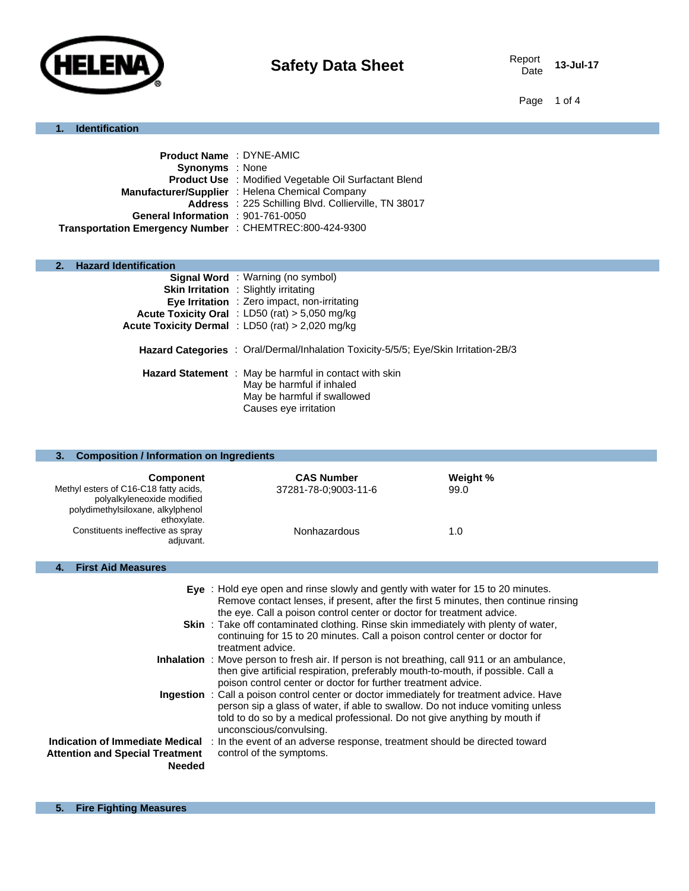

Date **13-Jul-17**

Page 1 of 4

# **1. Identification**

| Product Name: DYNE-AMIC                                 |                                                              |
|---------------------------------------------------------|--------------------------------------------------------------|
| <b>Synonyms</b> : None                                  |                                                              |
|                                                         | <b>Product Use : Modified Vegetable Oil Surfactant Blend</b> |
|                                                         | Manufacturer/Supplier: Helena Chemical Company               |
|                                                         | Address : 225 Schilling Blvd. Collierville, TN 38017         |
| General Information : 901-761-0050                      |                                                              |
| Transportation Emergency Number : CHEMTREC:800-424-9300 |                                                              |
|                                                         |                                                              |

# **2. Hazard Identification**

| <b>Signal Word</b> : Warning (no symbol)<br><b>Skin Irritation</b> : Slightly irritating                                                    |
|---------------------------------------------------------------------------------------------------------------------------------------------|
| Eye Irritation : Zero impact, non-irritating                                                                                                |
| Acute Toxicity Oral : LD50 (rat) > 5,050 mg/kg                                                                                              |
| Acute Toxicity Dermal : LD50 (rat) > 2,020 mg/kg                                                                                            |
| <b>Hazard Categories</b> : Oral/Dermal/Inhalation Toxicity-5/5/5; Eye/Skin Irritation-2B/3                                                  |
| Hazard Statement : May be harmful in contact with skin<br>May be harmful if inhaled<br>May be harmful if swallowed<br>Causes eye irritation |

| <b>Composition / Information on Ingredients</b><br>3.                                                                                                                                         |                                                                                                                                                                                                                                                                                                                                                                                                                                                    |                         |
|-----------------------------------------------------------------------------------------------------------------------------------------------------------------------------------------------|----------------------------------------------------------------------------------------------------------------------------------------------------------------------------------------------------------------------------------------------------------------------------------------------------------------------------------------------------------------------------------------------------------------------------------------------------|-------------------------|
| <b>Component</b><br>Methyl esters of C16-C18 fatty acids,<br>polyalkyleneoxide modified<br>polydimethylsiloxane, alkylphenol<br>ethoxylate.<br>Constituents ineffective as spray<br>adjuvant. | <b>CAS Number</b><br>37281-78-0;9003-11-6<br>Nonhazardous                                                                                                                                                                                                                                                                                                                                                                                          | Weight %<br>99.0<br>1.0 |
| <b>First Aid Measures</b><br>4.                                                                                                                                                               |                                                                                                                                                                                                                                                                                                                                                                                                                                                    |                         |
|                                                                                                                                                                                               | Eye : Hold eye open and rinse slowly and gently with water for 15 to 20 minutes.<br>Remove contact lenses, if present, after the first 5 minutes, then continue rinsing<br>the eye. Call a poison control center or doctor for treatment advice.<br><b>Skin</b> : Take off contaminated clothing. Rinse skin immediately with plenty of water,<br>continuing for 15 to 20 minutes. Call a poison control center or doctor for<br>treatment advice. |                         |
|                                                                                                                                                                                               | Inhalation : Move person to fresh air. If person is not breathing, call 911 or an ambulance,<br>then give artificial respiration, preferably mouth-to-mouth, if possible. Call a<br>poison control center or doctor for further treatment advice.                                                                                                                                                                                                  |                         |
|                                                                                                                                                                                               | Ingestion : Call a poison control center or doctor immediately for treatment advice. Have<br>person sip a glass of water, if able to swallow. Do not induce vomiting unless<br>told to do so by a medical professional. Do not give anything by mouth if<br>unconscious/convulsing.                                                                                                                                                                |                         |
| <b>Indication of Immediate Medical</b><br><b>Attention and Special Treatment</b><br><b>Needed</b>                                                                                             | : In the event of an adverse response, treatment should be directed toward<br>control of the symptoms.                                                                                                                                                                                                                                                                                                                                             |                         |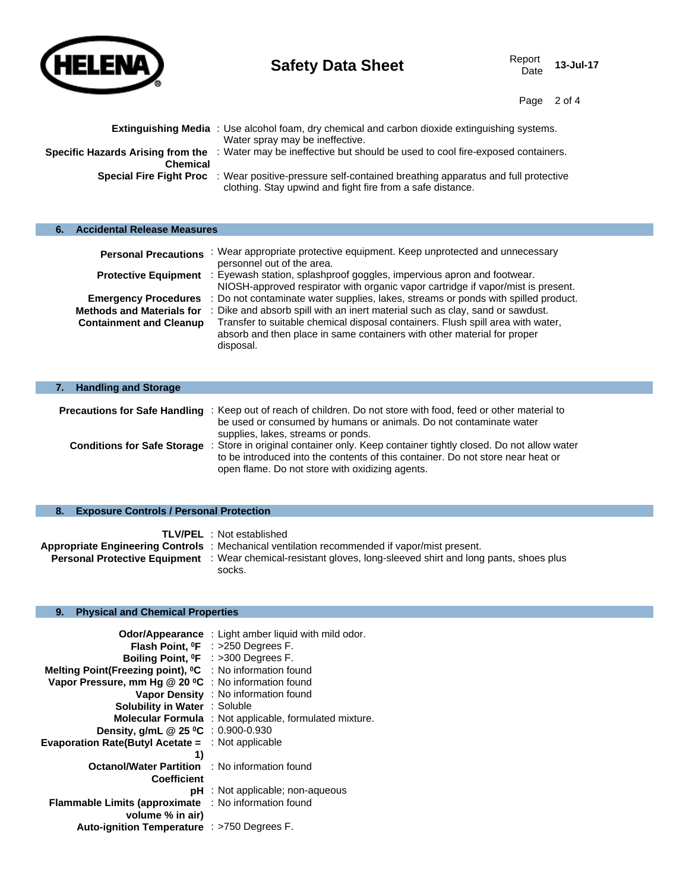

**Safety Data Sheet** Report Report Date

Date **13-Jul-17**

Page 2 of 4

|                 | <b>Extinguishing Media</b> : Use alcohol foam, dry chemical and carbon dioxide extinguishing systems.<br>Water spray may be ineffective.                                     |
|-----------------|------------------------------------------------------------------------------------------------------------------------------------------------------------------------------|
| <b>Chemical</b> | Specific Hazards Arising from the : Water may be ineffective but should be used to cool fire-exposed containers.                                                             |
|                 | <b>Special Fire Fight Proc</b> : Wear positive-pressure self-contained breathing apparatus and full protective<br>clothing. Stay upwind and fight fire from a safe distance. |

| <b>Accidental Release Measures</b> |                                                                                                                                                                         |
|------------------------------------|-------------------------------------------------------------------------------------------------------------------------------------------------------------------------|
| <b>Personal Precautions</b>        | : Wear appropriate protective equipment. Keep unprotected and unnecessary<br>personnel out of the area.                                                                 |
| <b>Protective Equipment</b>        | : Eyewash station, splashproof goggles, impervious apron and footwear.<br>NIOSH-approved respirator with organic vapor cartridge if vapor/mist is present.              |
| <b>Emergency Procedures</b>        | : Do not contaminate water supplies, lakes, streams or ponds with spilled product.                                                                                      |
| <b>Methods and Materials for</b>   | : Dike and absorb spill with an inert material such as clay, sand or sawdust.                                                                                           |
| <b>Containment and Cleanup</b>     | Transfer to suitable chemical disposal containers. Flush spill area with water,<br>absorb and then place in same containers with other material for proper<br>disposal. |

| <b>Handling and Storage</b> |                                                                                                                                                                                                                                                         |
|-----------------------------|---------------------------------------------------------------------------------------------------------------------------------------------------------------------------------------------------------------------------------------------------------|
|                             | <b>Precautions for Safe Handling</b> : Keep out of reach of children. Do not store with food, feed or other material to                                                                                                                                 |
|                             | be used or consumed by humans or animals. Do not contaminate water<br>supplies, lakes, streams or ponds.                                                                                                                                                |
|                             | Conditions for Safe Storage : Store in original container only. Keep container tightly closed. Do not allow water<br>to be introduced into the contents of this container. Do not store near heat or<br>open flame. Do not store with oxidizing agents. |
|                             |                                                                                                                                                                                                                                                         |

# **8. Exposure Controls / Personal Protection**

| <b>TLV/PEL</b> : Not established                                                                                     |
|----------------------------------------------------------------------------------------------------------------------|
| Appropriate Engineering Controls : Mechanical ventilation recommended if vapor/mist present.                         |
| <b>Personal Protective Equipment</b> : Wear chemical-resistant gloves, long-sleeved shirt and long pants, shoes plus |
| socks.                                                                                                               |

# **9. Physical and Chemical Properties**

|                                                                                | <b>Odor/Appearance</b> : Light amber liquid with mild odor.    |
|--------------------------------------------------------------------------------|----------------------------------------------------------------|
|                                                                                | Flash Point, <sup>o</sup> F : >250 Degrees F.                  |
|                                                                                | Boiling Point, <sup>o</sup> F : >300 Degrees F.                |
| Melting Point(Freezing point), <sup>o</sup> C : No information found           |                                                                |
| Vapor Pressure, mm Hg @ 20 °C : No information found                           |                                                                |
|                                                                                | Vapor Density : No information found                           |
| <b>Solubility in Water : Soluble</b>                                           |                                                                |
|                                                                                | <b>Molecular Formula</b> : Not applicable, formulated mixture. |
| Density, g/mL @ 25 °C : 0.900-0.930                                            |                                                                |
| <b>Evaporation Rate(Butyl Acetate = <math>\therefore</math> Not applicable</b> |                                                                |
| 1)                                                                             |                                                                |
| <b>Octanol/Water Partition : No information found</b>                          |                                                                |
| <b>Coefficient</b>                                                             |                                                                |
|                                                                                | $pH$ : Not applicable; non-aqueous                             |
| <b>Flammable Limits (approximate</b>                                           | : No information found                                         |
| volume % in air)                                                               |                                                                |
| Auto-ignition Temperature : >750 Degrees F.                                    |                                                                |
|                                                                                |                                                                |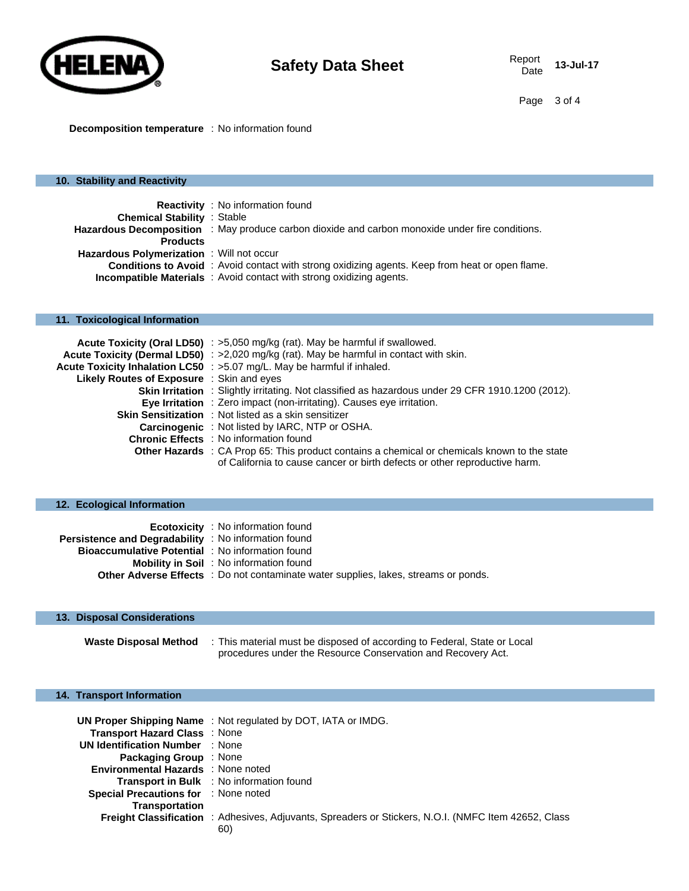

**Decomposition temperature** : No information found

#### **10. Stability and Reactivity**

|                                          | <b>Reactivity</b> : No information found                                                               |
|------------------------------------------|--------------------------------------------------------------------------------------------------------|
| <b>Chemical Stability : Stable</b>       |                                                                                                        |
|                                          | <b>Hazardous Decomposition</b> : May produce carbon dioxide and carbon monoxide under fire conditions. |
| <b>Products</b>                          |                                                                                                        |
| Hazardous Polymerization: Will not occur |                                                                                                        |
|                                          | <b>Conditions to Avoid</b> : Avoid contact with strong oxidizing agents. Keep from heat or open flame. |
|                                          | <b>Incompatible Materials</b> : Avoid contact with strong oxidizing agents.                            |

# **11. Toxicological Information**

|                                                  | Acute Toxicity (Oral LD50) : >5,050 mg/kg (rat). May be harmful if swallowed.                            |
|--------------------------------------------------|----------------------------------------------------------------------------------------------------------|
|                                                  | Acute Toxicity (Dermal LD50) : >2,020 mg/kg (rat). May be harmful in contact with skin.                  |
|                                                  | Acute Toxicity Inhalation LC50 : >5.07 mg/L. May be harmful if inhaled.                                  |
| <b>Likely Routes of Exposure</b> : Skin and eyes |                                                                                                          |
|                                                  | <b>Skin Irritation</b> : Slightly irritating. Not classified as hazardous under 29 CFR 1910.1200 (2012). |
|                                                  | Eye Irritation : Zero impact (non-irritating). Causes eye irritation.                                    |
|                                                  | <b>Skin Sensitization</b> : Not listed as a skin sensitizer                                              |
|                                                  | <b>Carcinogenic</b> : Not listed by IARC, NTP or OSHA.                                                   |
|                                                  | <b>Chronic Effects</b> : No information found                                                            |
|                                                  | Other Hazards : CA Prop 65: This product contains a chemical or chemicals known to the state             |
|                                                  | of California to cause cancer or birth defects or other reproductive harm.                               |

| 12. Ecological Information                              |                                                                                            |
|---------------------------------------------------------|--------------------------------------------------------------------------------------------|
|                                                         |                                                                                            |
|                                                         | <b>Ecotoxicity</b> : No information found                                                  |
| Persistence and Degradability : No information found    |                                                                                            |
| <b>Bioaccumulative Potential</b> : No information found |                                                                                            |
|                                                         | <b>Mobility in Soil</b> : No information found                                             |
|                                                         | <b>Other Adverse Effects</b> : Do not contaminate water supplies, lakes, streams or ponds. |
|                                                         |                                                                                            |

#### **13. Disposal Considerations**

| <b>Waste Disposal Method</b> | : This material must be disposed of according to Federal, State or Local |
|------------------------------|--------------------------------------------------------------------------|
|                              | procedures under the Resource Conservation and Recovery Act.             |

#### **14. Transport Information**

|                                             | <b>UN Proper Shipping Name: Not regulated by DOT, IATA or IMDG.</b>                                         |
|---------------------------------------------|-------------------------------------------------------------------------------------------------------------|
| Transport Hazard Class: None                |                                                                                                             |
| <b>UN Identification Number : None</b>      |                                                                                                             |
| <b>Packaging Group</b> : None               |                                                                                                             |
| Environmental Hazards : None noted          |                                                                                                             |
|                                             | <b>Transport in Bulk</b> : No information found                                                             |
| <b>Special Precautions for : None noted</b> |                                                                                                             |
| <b>Transportation</b>                       |                                                                                                             |
|                                             | <b>Freight Classification</b> : Adhesives, Adjuvants, Spreaders or Stickers, N.O.I. (NMFC Item 42652, Class |
|                                             | 60)                                                                                                         |